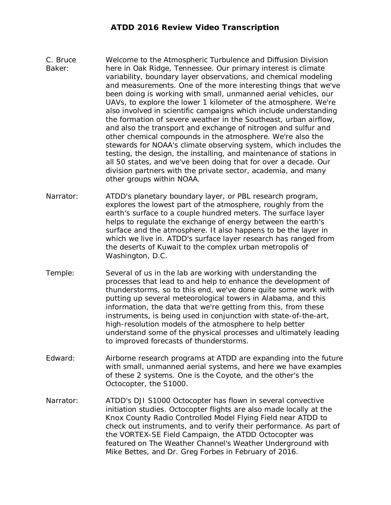## **ATDD 2016 Review Video Transcription**

- C. Bruce Baker: Welcome to the Atmospheric Turbulence and Diffusion Division here in Oak Ridge, Tennessee. Our primary interest is climate variability, boundary layer observations, and chemical modeling and measurements. One of the more interesting things that we've been doing is working with small, unmanned aerial vehicles, our UAVs, to explore the lower 1 kilometer of the atmosphere. We're also involved in scientific campaigns which include understanding the formation of severe weather in the Southeast, urban airflow, and also the transport and exchange of nitrogen and sulfur and other chemical compounds in the atmosphere. We're also the stewards for NOAA's climate observing system, which includes the testing, the design, the installing, and maintenance of stations in all 50 states, and we've been doing that for over a decade. Our division partners with the private sector, academia, and many other groups within NOAA.
- Narrator: ATDD's planetary boundary layer, or PBL research program, explores the lowest part of the atmosphere, roughly from the earth's surface to a couple hundred meters. The surface layer helps to regulate the exchange of energy between the earth's surface and the atmosphere. It also happens to be the layer in which we live in. ATDD's surface layer research has ranged from the deserts of Kuwait to the complex urban metropolis of Washington, D.C.
- Temple: Several of us in the lab are working with understanding the processes that lead to and help to enhance the development of thunderstorms, so to this end, we've done quite some work with putting up several meteorological towers in Alabama, and this information, the data that we're getting from this, from these instruments, is being used in conjunction with state-of-the-art, high-resolution models of the atmosphere to help better understand some of the physical processes and ultimately leading to improved forecasts of thunderstorms.
- Edward: Airborne research programs at ATDD are expanding into the future with small, unmanned aerial systems, and here we have examples of these 2 systems. One is the Coyote, and the other's the Octocopter, the S1000.
- Narrator: ATDD's DJI S1000 Octocopter has flown in several convective initiation studies. Octocopter flights are also made locally at the Knox County Radio Controlled Model Flying Field near ATDD to check out instruments, and to verify their performance. As part of the VORTEX-SE Field Campaign, the ATDD Octocopter was featured on The Weather Channel's Weather Underground with Mike Bettes, and Dr. Greg Forbes in February of 2016.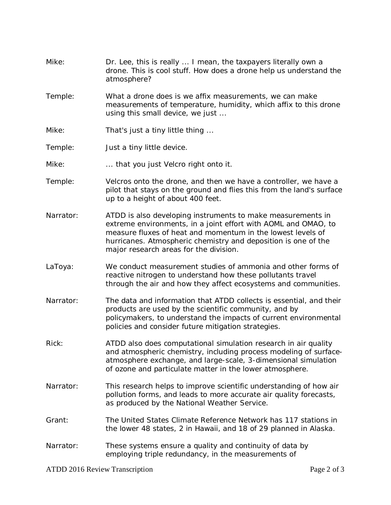- Mike: Dr. Lee, this is really ... I mean, the taxpayers literally own a drone. This is cool stuff. How does a drone help us understand the atmosphere?
- Temple: What a drone does is we affix measurements, we can make measurements of temperature, humidity, which affix to this drone using this small device, we just ...
- Mike: That's just a tiny little thing ...
- Temple: Just a tiny little device.
- Mike: ... that you just Velcro right onto it.
- Temple: Velcros onto the drone, and then we have a controller, we have a pilot that stays on the ground and flies this from the land's surface up to a height of about 400 feet.
- Narrator: ATDD is also developing instruments to make measurements in extreme environments, in a joint effort with AOML and OMAO, to measure fluxes of heat and momentum in the lowest levels of hurricanes. Atmospheric chemistry and deposition is one of the major research areas for the division.
- LaToya: We conduct measurement studies of ammonia and other forms of reactive nitrogen to understand how these pollutants travel through the air and how they affect ecosystems and communities.
- Narrator: The data and information that ATDD collects is essential, and their products are used by the scientific community, and by policymakers, to understand the impacts of current environmental policies and consider future mitigation strategies.
- Rick: ATDD also does computational simulation research in air quality and atmospheric chemistry, including process modeling of surfaceatmosphere exchange, and large-scale, 3-dimensional simulation of ozone and particulate matter in the lower atmosphere.
- Narrator: This research helps to improve scientific understanding of how air pollution forms, and leads to more accurate air quality forecasts, as produced by the National Weather Service.
- Grant: The United States Climate Reference Network has 117 stations in the lower 48 states, 2 in Hawaii, and 18 of 29 planned in Alaska.
- Narrator: These systems ensure a quality and continuity of data by employing triple redundancy, in the measurements of